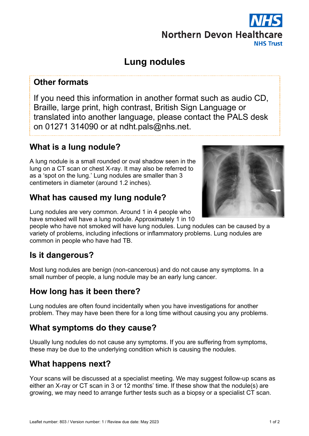#### Leaflet number: 803 / Version number: 1 / Review due date: May 2023 1 012

#### **Other formats**

If you need this information in another format such as audio CD, Braille, large print, high contrast, British Sign Language or translated into another language, please contact the PALS desk on 01271 314090 or at ndht.pals@nhs.net.

**Lung nodules**

## **What is a lung nodule?**

A lung nodule is a small rounded or oval shadow seen in the lung on a CT scan or chest X-ray. It may also be referred to as a 'spot on the lung.' Lung nodules are smaller than 3 centimeters in diameter (around 1.2 inches).

## **What has caused my lung nodule?**

Lung nodules are very common. Around 1 in 4 people who have smoked will have a lung nodule. Approximately 1 in 10

people who have not smoked will have lung nodules. Lung nodules can be caused by a variety of problems, including infections or inflammatory problems. Lung nodules are common in people who have had TB.

# **Is it dangerous?**

Most lung nodules are benign (non-cancerous) and do not cause any symptoms. In a small number of people, a lung nodule may be an early lung cancer.

# **How long has it been there?**

Lung nodules are often found incidentally when you have investigations for another problem. They may have been there for a long time without causing you any problems.

# **What symptoms do they cause?**

Usually lung nodules do not cause any symptoms. If you are suffering from symptoms, these may be due to the underlying condition which is causing the nodules.

# **What happens next?**

Your scans will be discussed at a specialist meeting. We may suggest follow-up scans as either an X-ray or CT scan in 3 or 12 months' time. If these show that the nodule(s) are growing, we may need to arrange further tests such as a biopsy or a specialist CT scan.